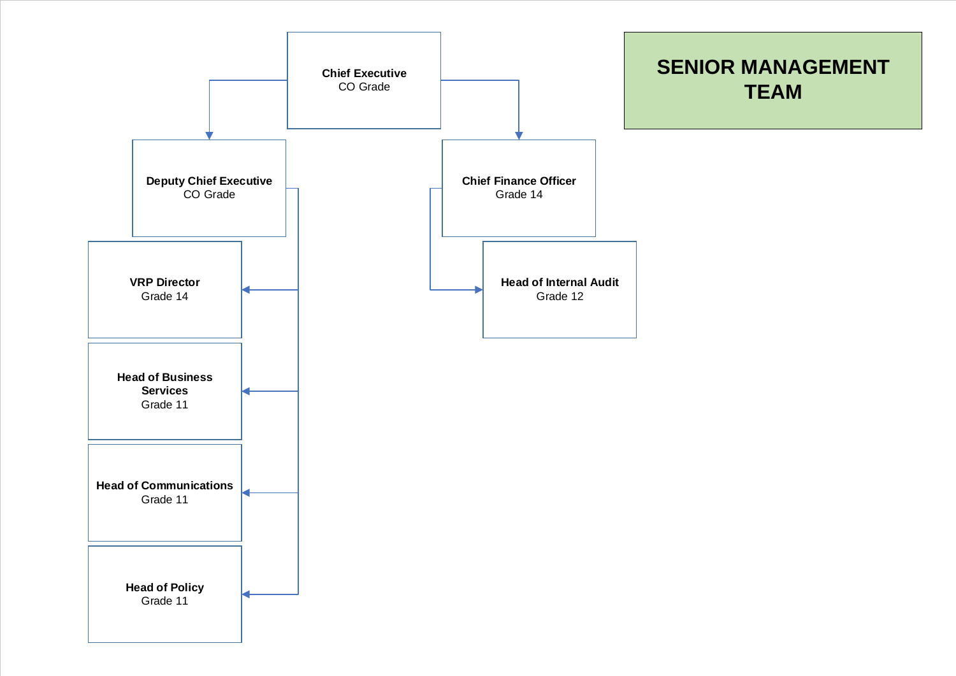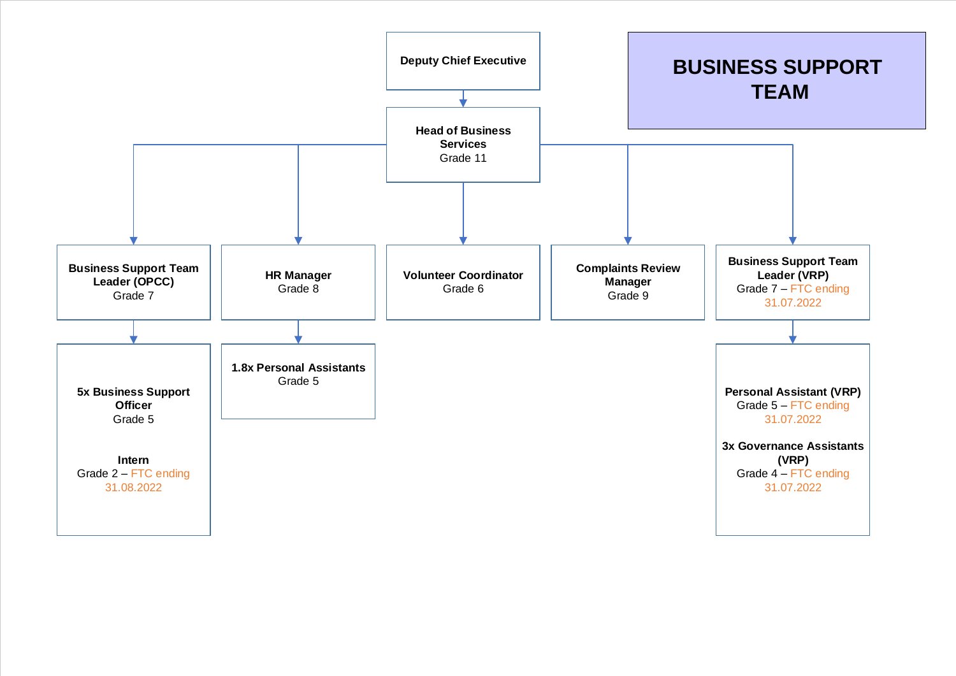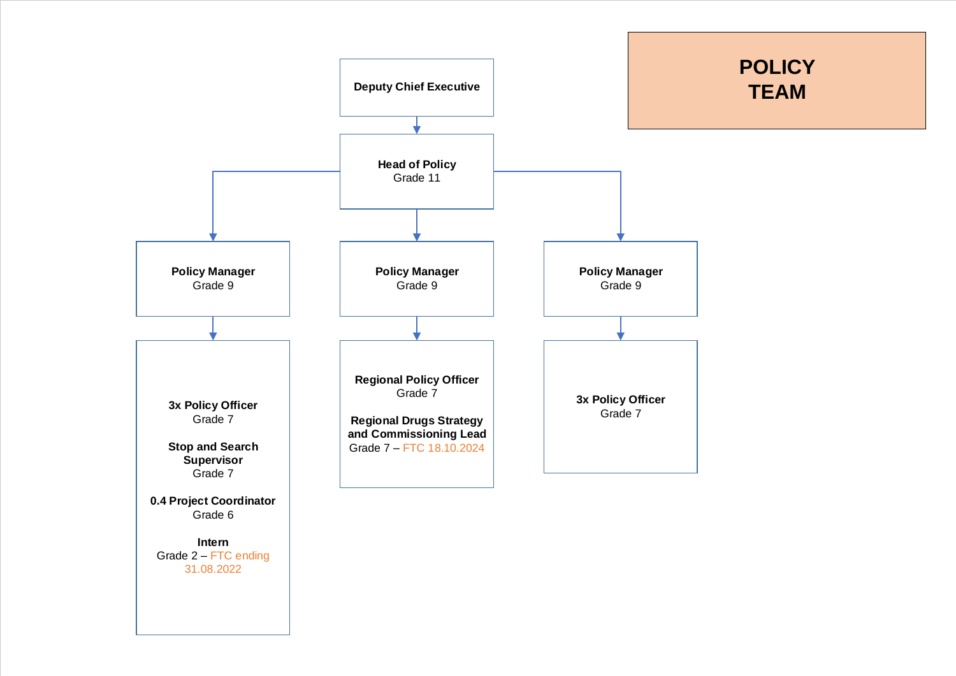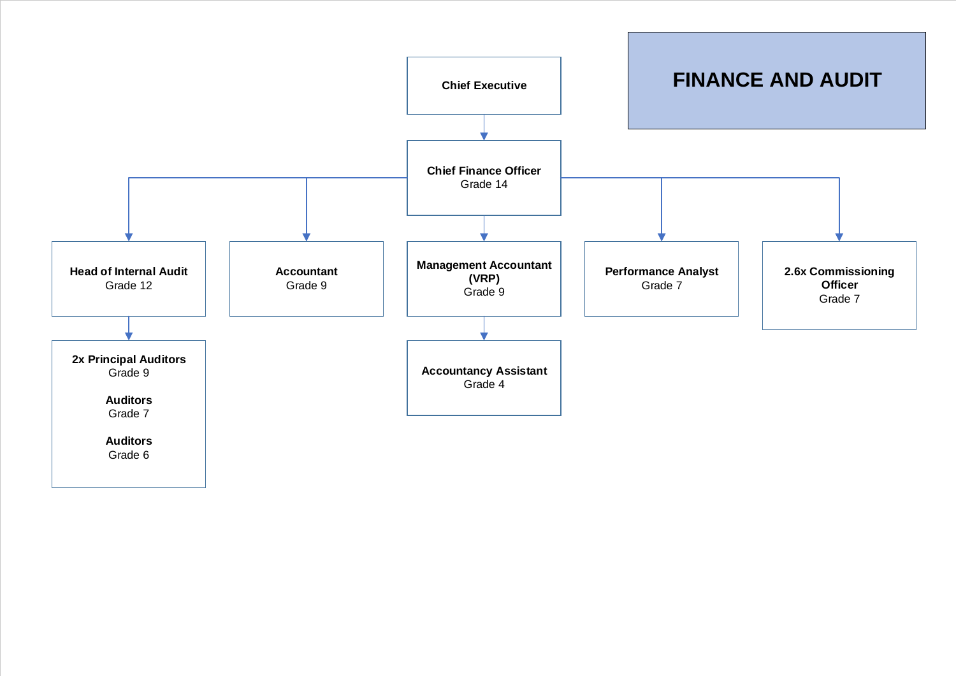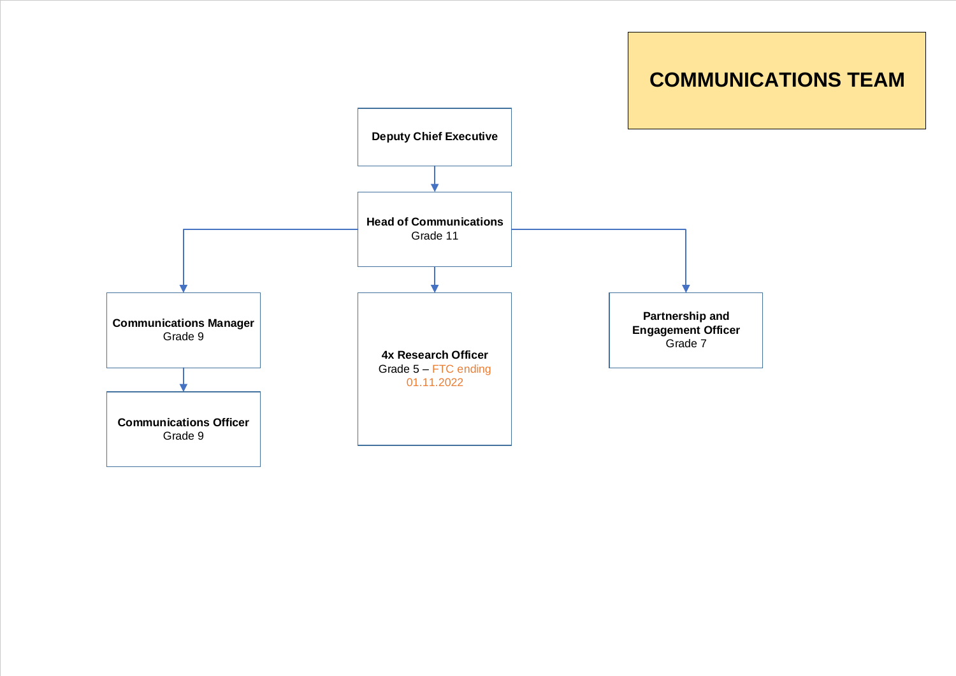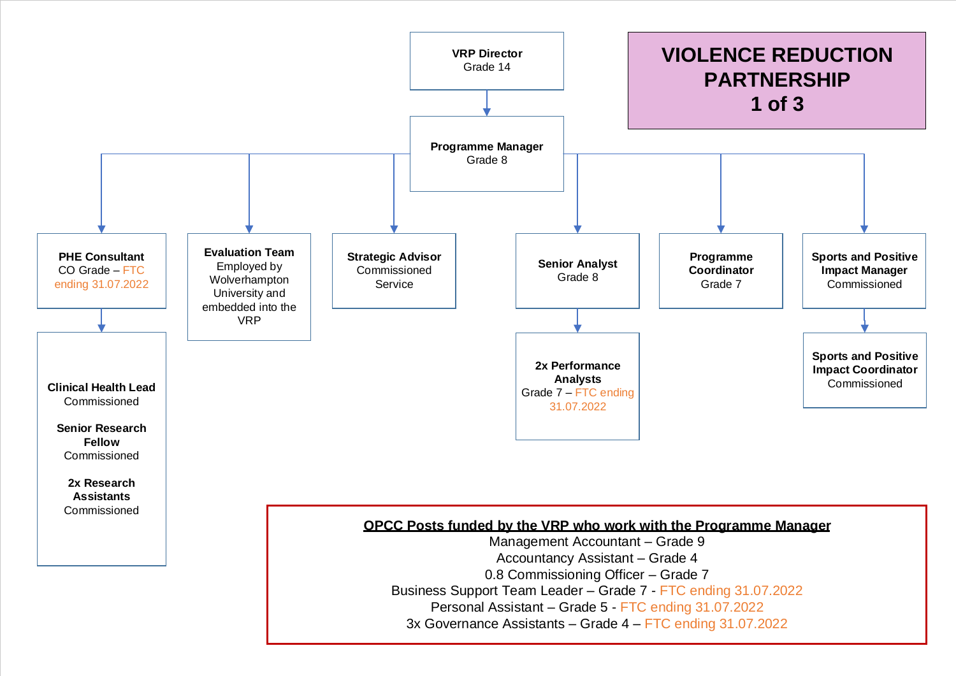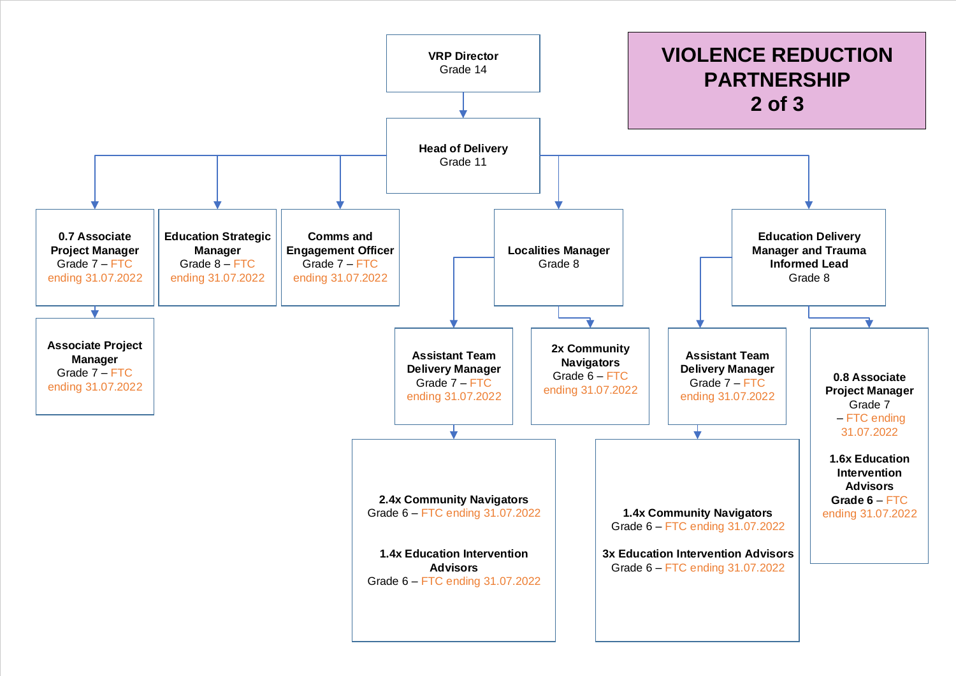